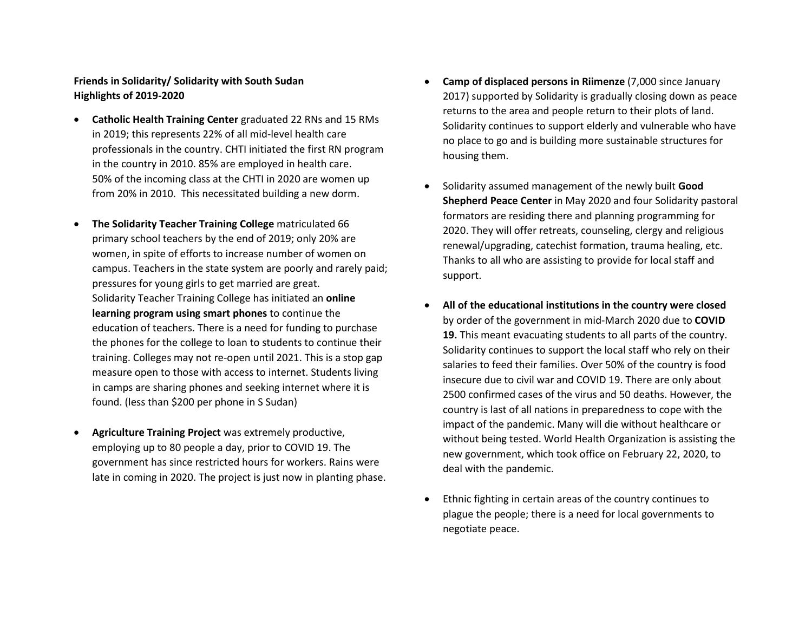## **Friends in Solidarity/ Solidarity with South Sudan Highlights of 2019-2020**

- **Catholic Health Training Center** graduated 22 RNs and 15 RMs in 2019; this represents 22% of all mid-level health care professionals in the country. CHTI initiated the first RN program in the country in 2010. 85% are employed in health care. 50% of the incoming class at the CHTI in 2020 are women up from 20% in 2010. This necessitated building a new dorm.
- **The Solidarity Teacher Training College** matriculated 66 primary school teachers by the end of 2019; only 20% are women, in spite of efforts to increase number of women on campus. Teachers in the state system are poorly and rarely paid; pressures for young girls to get married are great. Solidarity Teacher Training College has initiated an **online learning program using smart phones** to continue the education of teachers. There is a need for funding to purchase the phones for the college to loan to students to continue their training. Colleges may not re-open until 2021. This is a stop gap measure open to those with access to internet. Students living in camps are sharing phones and seeking internet where it is found. (less than \$200 per phone in S Sudan)
- **Agriculture Training Project** was extremely productive, employing up to 80 people a day, prior to COVID 19. The government has since restricted hours for workers. Rains were late in coming in 2020. The project is just now in planting phase.
- **Camp of displaced persons in Riimenze** (7,000 since January 2017) supported by Solidarity is gradually closing down as peace returns to the area and people return to their plots of land. Solidarity continues to support elderly and vulnerable who have no place to go and is building more sustainable structures for housing them.
- Solidarity assumed management of the newly built **Good Shepherd Peace Center** in May 2020 and four Solidarity pastoral formators are residing there and planning programming for 2020. They will offer retreats, counseling, clergy and religious renewal/upgrading, catechist formation, trauma healing, etc. Thanks to all who are assisting to provide for local staff and support.
- **All of the educational institutions in the country were closed** by order of the government in mid-March 2020 due to **COVID 19.** This meant evacuating students to all parts of the country. Solidarity continues to support the local staff who rely on their salaries to feed their families. Over 50% of the country is food insecure due to civil war and COVID 19. There are only about 2500 confirmed cases of the virus and 50 deaths. However, the country is last of all nations in preparedness to cope with the impact of the pandemic. Many will die without healthcare or without being tested. World Health Organization is assisting the new government, which took office on February 22, 2020, to deal with the pandemic.
- Ethnic fighting in certain areas of the country continues to plague the people; there is a need for local governments to negotiate peace.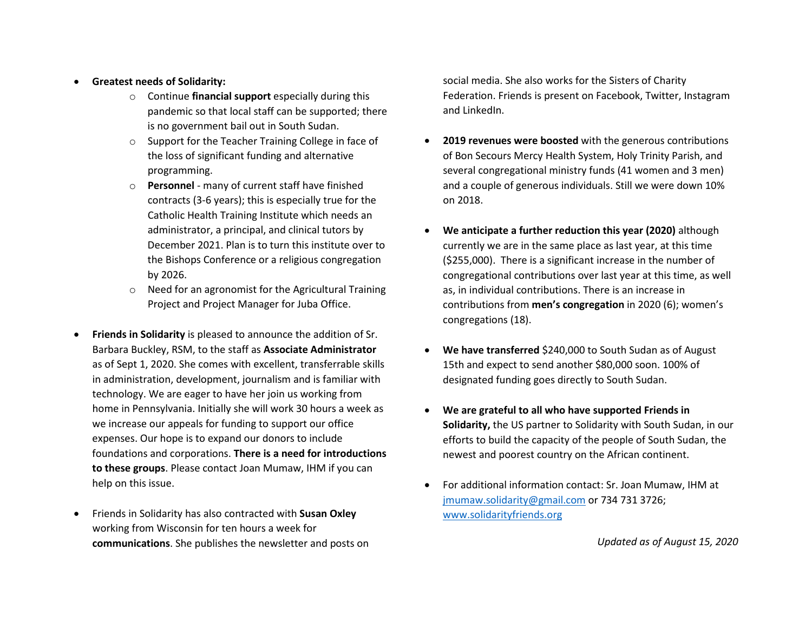- **Greatest needs of Solidarity:**
	- o Continue **financial support** especially during this pandemic so that local staff can be supported; there is no government bail out in South Sudan.
	- o Support for the Teacher Training College in face of the loss of significant funding and alternative programming.
	- o **Personnel**  many of current staff have finished contracts (3-6 years); this is especially true for the Catholic Health Training Institute which needs an administrator, a principal, and clinical tutors by December 2021. Plan is to turn this institute over to the Bishops Conference or a religious congregation by 2026.
	- o Need for an agronomist for the Agricultural Training Project and Project Manager for Juba Office.
- **Friends in Solidarity** is pleased to announce the addition of Sr. Barbara Buckley, RSM, to the staff as **Associate Administrator** as of Sept 1, 2020. She comes with excellent, transferrable skills in administration, development, journalism and is familiar with technology. We are eager to have her join us working from home in Pennsylvania. Initially she will work 30 hours a week as we increase our appeals for funding to support our office expenses. Our hope is to expand our donors to include foundations and corporations. **There is a need for introductions to these groups**. Please contact Joan Mumaw, IHM if you can help on this issue.
- Friends in Solidarity has also contracted with **Susan Oxley** working from Wisconsin for ten hours a week for **communications**. She publishes the newsletter and posts on

social media. She also works for the Sisters of Charity Federation. Friends is present on Facebook, Twitter, Instagram and LinkedIn.

- **2019 revenues were boosted** with the generous contributions of Bon Secours Mercy Health System, Holy Trinity Parish, and several congregational ministry funds (41 women and 3 men) and a couple of generous individuals. Still we were down 10% on 2018.
- **We anticipate a further reduction this year (2020)** although currently we are in the same place as last year, at this time (\$255,000). There is a significant increase in the number of congregational contributions over last year at this time, as well as, in individual contributions. There is an increase in contributions from **men's congregation** in 2020 (6); women's congregations (18).
- **We have transferred** \$240,000 to South Sudan as of August 15th and expect to send another \$80,000 soon. 100% of designated funding goes directly to South Sudan.
- **We are grateful to all who have supported Friends in Solidarity,** the US partner to Solidarity with South Sudan, in our efforts to build the capacity of the people of South Sudan, the newest and poorest country on the African continent.
- For additional information contact: Sr. Joan Mumaw, IHM at [jmumaw.solidarity@gmail.com](mailto:jmumaw.solidarity@gmail.com) or 734 731 3726; [www.solidarityfriends.org](http://www.solidarityfriends.org/)

*Updated as of August 15, 2020*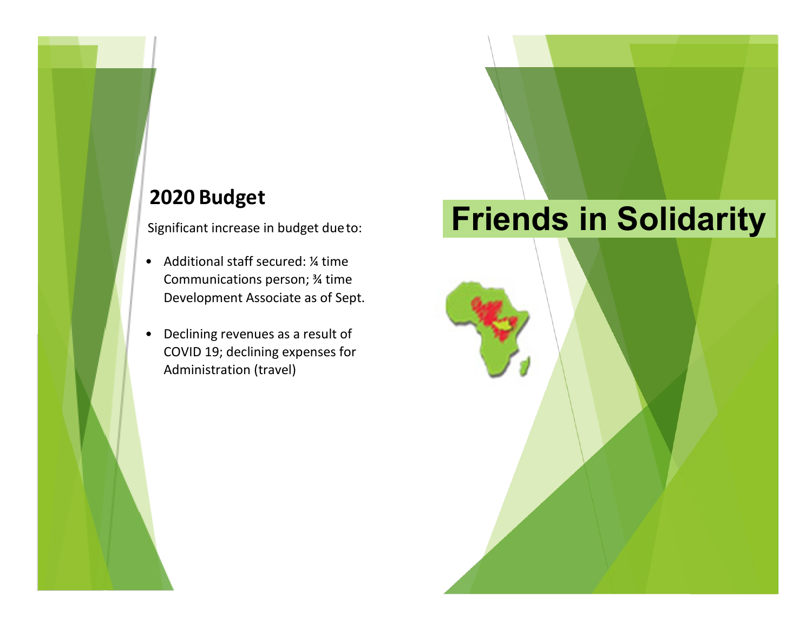## **2020 Budget**

Significant increase in budget dueto:

- Additional staff secured: ¼ time Communications person; ¾ time Development Associate as of Sept.
- Declining revenues as a result of COVID 19; declining expenses for Administration (travel)

## **Friends in Solidarity**